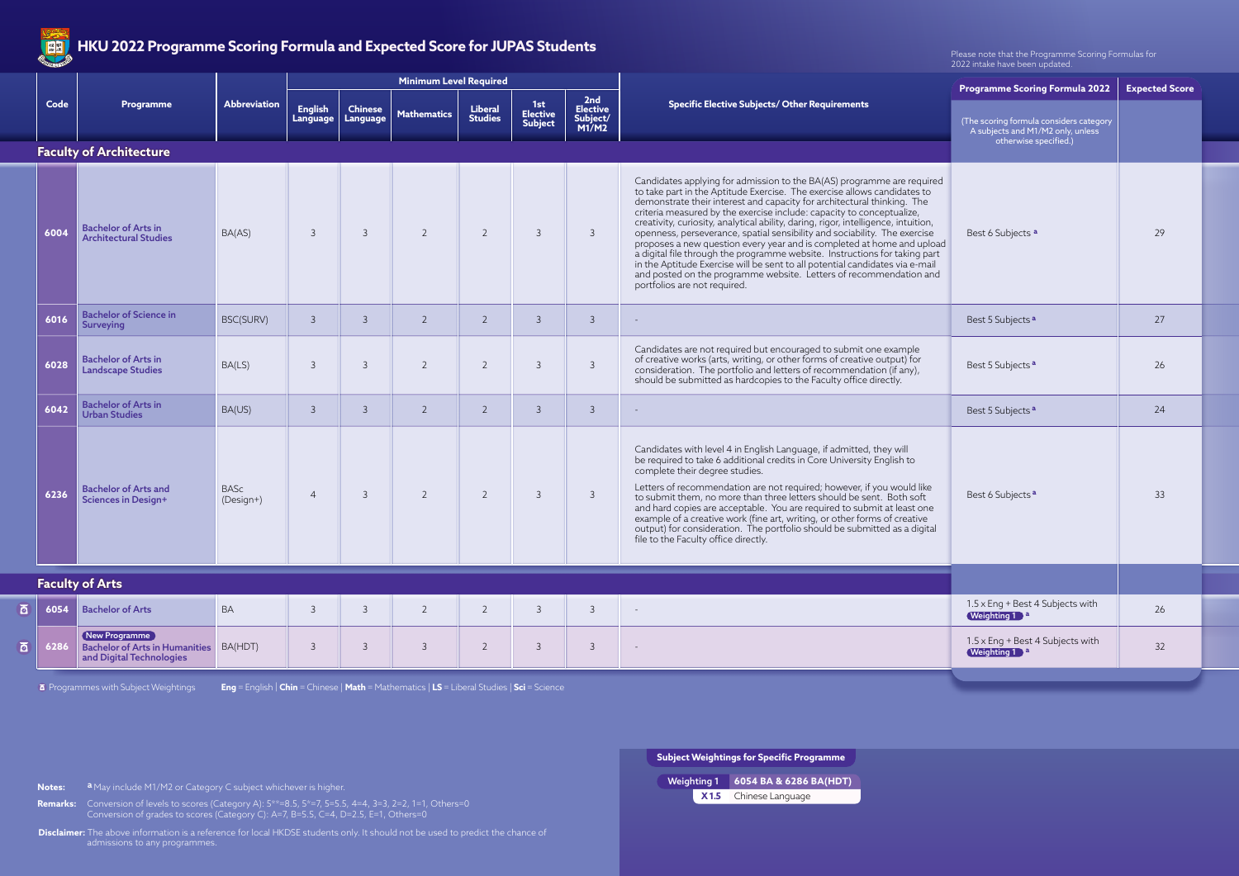| <b>READERS</b> | The ZUZZ Programme Sconny Pornula and Expected Score for Jor AS Students                   |                          |                            |                            |                               |                                  |                                          |                                             |                                                                                                                                                                                                                                                                                                                                                                                                                                                                                                                                                                                                                                                                                                                                                                                                                      | Please note that the Programme Scoring Formulas for<br>2022 intake have been updated. |                       |  |
|----------------|--------------------------------------------------------------------------------------------|--------------------------|----------------------------|----------------------------|-------------------------------|----------------------------------|------------------------------------------|---------------------------------------------|----------------------------------------------------------------------------------------------------------------------------------------------------------------------------------------------------------------------------------------------------------------------------------------------------------------------------------------------------------------------------------------------------------------------------------------------------------------------------------------------------------------------------------------------------------------------------------------------------------------------------------------------------------------------------------------------------------------------------------------------------------------------------------------------------------------------|---------------------------------------------------------------------------------------|-----------------------|--|
|                |                                                                                            | Abbreviation             |                            |                            | <b>Minimum Level Required</b> |                                  |                                          |                                             |                                                                                                                                                                                                                                                                                                                                                                                                                                                                                                                                                                                                                                                                                                                                                                                                                      | <b>Programme Scoring Formula 2022</b>                                                 | <b>Expected Score</b> |  |
| Code           | <b>Programme</b>                                                                           |                          | <b>English</b><br>Language | <b>Chinese</b><br>Language | <b>Mathematics</b>            | <b>Liberal</b><br><b>Studies</b> | 1st<br><b>Elective</b><br><b>Subject</b> | 2nd<br><b>Elective</b><br>Subject/<br>M1/M2 | <b>Specific Elective Subjects/ Other Requirements</b>                                                                                                                                                                                                                                                                                                                                                                                                                                                                                                                                                                                                                                                                                                                                                                | (The scoring formula considers category<br>A subjects and M1/M2 only, unless          |                       |  |
|                | <b>Faculty of Architecture</b>                                                             |                          |                            |                            |                               |                                  |                                          |                                             | otherwise specified.)                                                                                                                                                                                                                                                                                                                                                                                                                                                                                                                                                                                                                                                                                                                                                                                                |                                                                                       |                       |  |
| 6004           | <b>Bachelor of Arts in</b><br><b>Architectural Studies</b>                                 | BA(AS)                   | $\overline{3}$             | $\overline{3}$             | $\overline{2}$                | $\overline{2}$                   | $\mathcal{E}$                            | $\mathcal{E}$                               | Candidates applying for admission to the BA(AS) programme are required<br>to take part in the Aptitude Exercise. The exercise allows candidates to<br>demonstrate their interest and capacity for architectural thinking. The<br>criteria measured by the exercise include: capacity to conceptualize,<br>creativity, curiosity, analytical ability, daring, rigor, intelligence, intuition, openness, perseverance, spatial sensibility and sociability. The exercise<br>proposes a new question every year and is completed at home and upload<br>a digital file through the programme website. Instructions for taking part<br>in the Aptitude Exercise will be sent to all potential candidates via e-mail<br>and posted on the programme website. Letters of recommendation and<br>portfolios are not required. | Best 6 Subjects a                                                                     | 29                    |  |
| 6016           | <b>Bachelor of Science in</b><br><b>Surveying</b>                                          | BSC(SURV)                | $\overline{3}$             | $\overline{3}$             | $\overline{2}$                | $\overline{2}$                   | $\mathcal{E}$                            | $\mathbf{3}$                                |                                                                                                                                                                                                                                                                                                                                                                                                                                                                                                                                                                                                                                                                                                                                                                                                                      | Best 5 Subjects <sup>a</sup>                                                          | 27                    |  |
| 6028           | <b>Bachelor of Arts in</b><br><b>Landscape Studies</b>                                     | BA(LS)                   | $\overline{3}$             | $\overline{3}$             | $\overline{2}$                | $\overline{2}$                   | $\mathcal{E}$                            | $\mathcal{S}$                               | Candidates are not required but encouraged to submit one example<br>of creative works (arts, writing, or other forms of creative output) for<br>consideration. The portfolio and letters of recommendation (if any),<br>should be submitted as hardcopies to the Faculty office directly.                                                                                                                                                                                                                                                                                                                                                                                                                                                                                                                            | Best 5 Subjects <sup>a</sup>                                                          | 26                    |  |
| 6042           | <b>Bachelor of Arts in</b><br><b>Urban Studies</b>                                         | BA(US)                   | $\overline{3}$             | $\overline{3}$             | $\overline{2}$                | $\overline{2}$                   | $\mathcal{E}$                            | $\overline{3}$                              |                                                                                                                                                                                                                                                                                                                                                                                                                                                                                                                                                                                                                                                                                                                                                                                                                      | Best 5 Subjects <sup>a</sup>                                                          | 24                    |  |
| 6236           | <b>Bachelor of Arts and</b><br><b>Sciences in Design+</b>                                  | <b>BASc</b><br>(Design+) | $\overline{4}$             | $\overline{3}$             | $\overline{2}$                | $\overline{2}$                   | 3                                        | $\mathcal{E}$                               | Candidates with level 4 in English Language, if admitted, they will<br>be required to take 6 additional credits in Core University English to<br>complete their degree studies.<br>Letters of recommendation are not required; however, if you would like<br>to submit them, no more than three letters should be sent. Both soft<br>and hard copies are acceptable. You are required to submit at least one<br>example of a creative work (fine art, writing, or other forms of creative<br>output) for consideration. The portfolio should be submitted as a digital<br>file to the Faculty office directly.                                                                                                                                                                                                       | Best 6 Subjects <sup>a</sup>                                                          | 33                    |  |
|                | <b>Faculty of Arts</b>                                                                     |                          |                            |                            |                               |                                  |                                          |                                             |                                                                                                                                                                                                                                                                                                                                                                                                                                                                                                                                                                                                                                                                                                                                                                                                                      |                                                                                       |                       |  |
|                | 6054 Bachelor of Arts                                                                      | BA                       | $\mathcal{E}$              | $\overline{3}$             | $\overline{2}$                | $\overline{2}$                   | $\mathcal{S}$                            | $\overline{3}$                              |                                                                                                                                                                                                                                                                                                                                                                                                                                                                                                                                                                                                                                                                                                                                                                                                                      | 1.5 x Eng + Best 4 Subjects with<br>Weighting 1 a                                     | 26                    |  |
| 6286           | New Programme<br><b>Bachelor of Arts in Humanities</b> BA(HDT)<br>and Digital Technologies |                          | $\mathcal{S}$              | $\overline{3}$             | $\mathcal{E}$                 | $\overline{2}$                   | $\overline{3}$                           | $\mathcal{S}$                               | $\sim$                                                                                                                                                                                                                                                                                                                                                                                                                                                                                                                                                                                                                                                                                                                                                                                                               | 1.5 x Eng + Best 4 Subjects with<br>Weighting 1 a                                     | 32                    |  |

|                | $\overline{6}$ 6054 | <b>Bachelor of Arts</b>                                                             | <b>BA</b> |  |  | ٮ |  |
|----------------|---------------------|-------------------------------------------------------------------------------------|-----------|--|--|---|--|
| $\overline{a}$ | 6286                | New Programme<br>Bachelor of Arts in Humanities BA(HDT)<br>and Digital Technologies |           |  |  |   |  |

**B** Programmes with Subject Weightings

**Disclaimer:** The above information is a reference for local HKDSE students only. It should not be used to predict the chance of admissions to any programmes.

**Remarks:** Conversion of levels to scores (Category A): 5\*\*=8.5, 5\*=7, 5=5.5, 4=4, 3=3, 2=2, 1=1, Others=0 Conversion of grades to scores (Category C): A=7, B=5.5, C=4, D=2.5, E=1, Others=0

**Subject Weightings for Specific Programme** Chinese Language **X 1.5** Weighting 1 **6054 BA & 6286 BA(HDT)**



## **HKU 2022 Programme Scoring Formula and Expected Score for JUPAS Students**

**Eng** = English | **Chin** = Chinese | **Math** = Mathematics | **LS** = Liberal Studies | **Sci** = Science

**Notes:** a May include M1/M2 or Category C subject whichever is higher.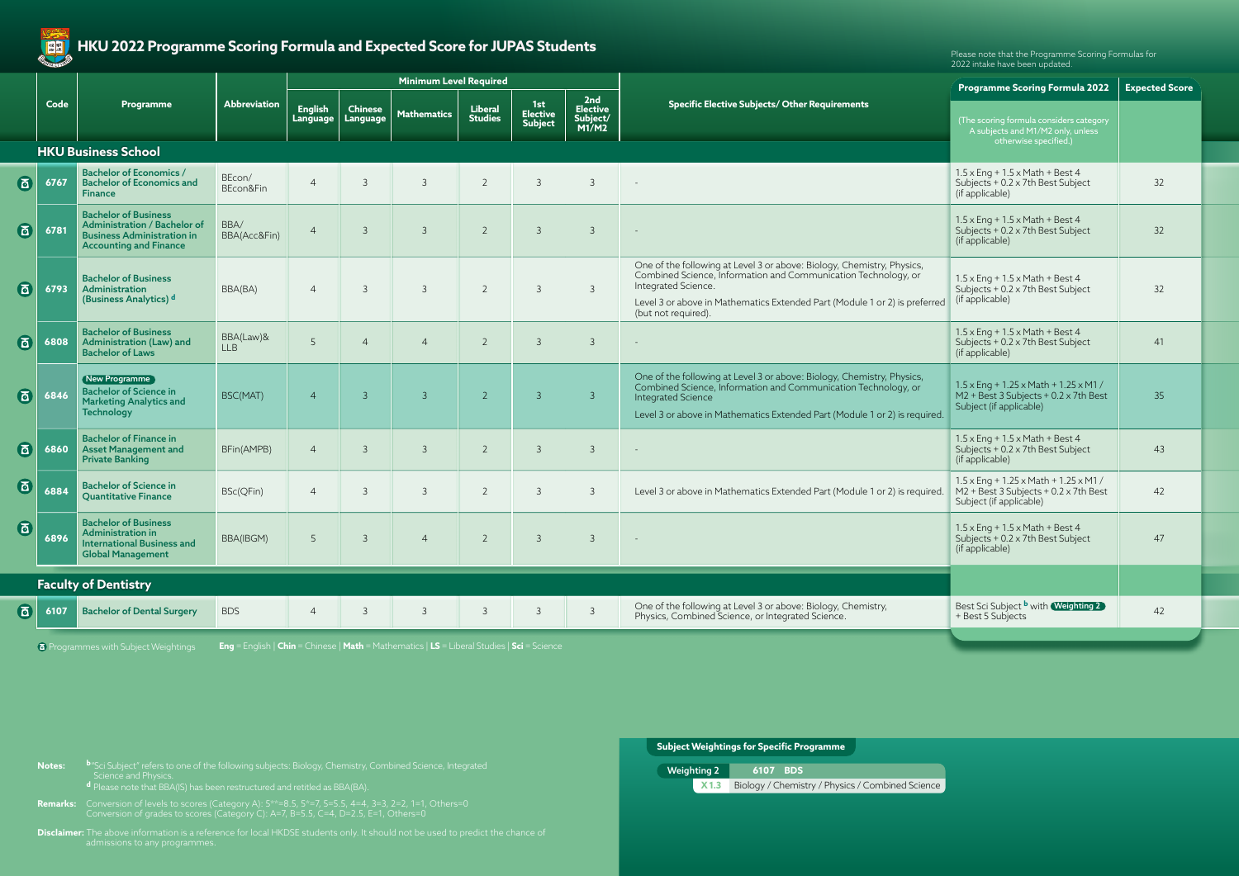**X1.3** Biology / Chemistry / Physics / Combined Science Weighting 2 **6107 BDS**

| <b>Subject Weightings for Specific Programme</b> |  |
|--------------------------------------------------|--|
|                                                  |  |

**Disclaimer:** The above information is a reference for local HKDSE students only. It should not be used to predict the chance of

|                            |      | Programme                                                                                                                         | Abbreviation            |                                   |                            | <b>Minimum Level Required</b> |                                  |                                          |                                             |                                                                                                                                                                                                                                                                      | <b>Expected Score</b><br>Programme Scoring Formula 2022                                                                        |                 |  |
|----------------------------|------|-----------------------------------------------------------------------------------------------------------------------------------|-------------------------|-----------------------------------|----------------------------|-------------------------------|----------------------------------|------------------------------------------|---------------------------------------------|----------------------------------------------------------------------------------------------------------------------------------------------------------------------------------------------------------------------------------------------------------------------|--------------------------------------------------------------------------------------------------------------------------------|-----------------|--|
|                            | Code |                                                                                                                                   |                         | <b>English</b><br><b>Language</b> | <b>Chinese</b><br>Language | <b>Mathematics</b>            | <b>Liberal</b><br><b>Studies</b> | 1st<br><b>Elective</b><br><b>Subject</b> | 2nd<br><b>Elective</b><br>Subject/<br>M1/M2 | <b>Specific Elective Subjects/ Other Requirements</b>                                                                                                                                                                                                                | (The scoring formula considers category<br>A subjects and M1/M2 only, unless                                                   |                 |  |
| <b>HKU Business School</b> |      |                                                                                                                                   |                         |                                   |                            |                               |                                  |                                          |                                             |                                                                                                                                                                                                                                                                      | otherwise specified.)                                                                                                          |                 |  |
| 面                          | 6767 | <b>Bachelor of Economics /</b><br><b>Bachelor of Economics and</b><br><b>Finance</b>                                              | BEcon/<br>BEcon&Fin     | $\overline{4}$                    | $\overline{3}$             | $\mathcal{S}$                 | $\overline{2}$                   | $\mathbf{3}$                             | $\overline{3}$                              | $\sim$                                                                                                                                                                                                                                                               | $1.5 \times$ Eng + $1.5 \times$ Math + Best 4<br>Subjects + 0.2 x 7th Best Subject<br>(if applicable)                          | 32              |  |
| 6                          | 6781 | <b>Bachelor of Business</b><br>Administration / Bachelor of<br><b>Business Administration in</b><br><b>Accounting and Finance</b> | BBA/<br>BBA(Acc&Fin)    | $\overline{4}$                    | $\overline{3}$             | $\mathcal{S}$                 | $\overline{2}$                   | $\mathcal{E}$                            | $\overline{3}$                              |                                                                                                                                                                                                                                                                      | $1.5 \times$ Eng + $1.5 \times$ Math + Best 4<br>Subjects + 0.2 x 7th Best Subject<br>(if applicable)                          | 32              |  |
| 面                          | 6793 | <b>Bachelor of Business</b><br>Administration<br>(Business Analytics) d                                                           | BBA(BA)                 | $\overline{4}$                    | $\overline{3}$             | $\mathcal{E}$                 | $\overline{2}$                   | $\mathcal{E}$                            | $\mathcal{E}$                               | One of the following at Level 3 or above: Biology, Chemistry, Physics,<br>Combined Science, Information and Communication Technology, or<br>Integrated Science.<br>Level 3 or above in Mathematics Extended Part (Module 1 or 2) is preferred<br>(but not required). | $1.5 \times$ Eng + $1.5 \times$ Math + Best 4<br>Subjects + 0.2 x 7th Best Subject<br>(if applicable)                          | 32              |  |
| 6                          | 6808 | <b>Bachelor of Business</b><br>Administration (Law) and<br><b>Bachelor of Laws</b>                                                | BBA(Law)&<br><b>LLB</b> | $5^{\circ}$                       | $\overline{4}$             | $\overline{4}$                | $\overline{2}$                   | $\mathcal{E}$                            | $\overline{3}$                              |                                                                                                                                                                                                                                                                      | $1.5 \times$ Eng + $1.5 \times$ Math + Best 4<br>Subjects + 0.2 x 7th Best Subject<br>(if applicable)                          | 41              |  |
| 6                          | 6846 | New Programme<br><b>Bachelor of Science in</b><br><b>Marketing Analytics and</b><br><b>Technology</b>                             | BSC(MAT)                | $\overline{4}$                    | $\overline{3}$             | $\mathcal{E}$                 | $\overline{2}$                   | $\overline{3}$                           | $\overline{3}$                              | One of the following at Level 3 or above: Biology, Chemistry, Physics,<br>Combined Science, Information and Communication Technology, or<br>Integrated Science<br>Level 3 or above in Mathematics Extended Part (Module 1 or 2) is required.                         | $1.5 \times$ Eng + 1.25 $\times$ Math + 1.25 $\times$ M1 /<br>M2 + Best 3 Subjects + 0.2 x 7th Best<br>Subject (if applicable) | 35 <sup>°</sup> |  |
| 6                          | 6860 | <b>Bachelor of Finance in</b><br><b>Asset Management and</b><br><b>Private Banking</b>                                            | BFin(AMPB)              | $\overline{4}$                    | $\mathcal{E}$              | 3                             | 2                                | 3                                        | $\overline{3}$                              |                                                                                                                                                                                                                                                                      | $1.5 \times$ Eng + $1.5 \times$ Math + Best 4<br>Subjects + 0.2 x 7th Best Subject<br>(if applicable)                          | 43              |  |
| 面                          | 6884 | <b>Bachelor of Science in</b><br><b>Quantitative Finance</b>                                                                      | BSc(QFin)               | $\overline{4}$                    | -3                         | 3                             | 2                                | $\mathcal{B}$                            | $\mathcal{E}$                               | Level 3 or above in Mathematics Extended Part (Module 1 or 2) is required.                                                                                                                                                                                           | $1.5 \times$ Eng + 1.25 $\times$ Math + 1.25 $\times$ M1 /<br>M2 + Best 3 Subjects + 0.2 x 7th Best<br>Subject (if applicable) | 42              |  |
| 面                          | 6896 | <b>Bachelor of Business</b><br>Administration in<br><b>International Business and</b><br><b>Global Management</b>                 | BBA(IBGM)               | 5                                 | $-3$                       |                               |                                  | 4 2 3 3                                  |                                             |                                                                                                                                                                                                                                                                      | $1.5 \times$ Eng + $1.5 \times$ Math + Best 4<br>Subjects + 0.2 x 7th Best Subject<br>(if applicable)                          | 47              |  |
|                            |      | <b>Faculty of Dentistry</b>                                                                                                       |                         |                                   |                            |                               |                                  |                                          |                                             |                                                                                                                                                                                                                                                                      |                                                                                                                                |                 |  |
| 同                          | 6107 | <b>Bachelor of Dental Surgery</b>                                                                                                 | <b>BDS</b>              | $\overline{4}$                    | 3                          | 3                             | -3                               |                                          | $\mathcal{E}$                               | One of the following at Level 3 or above: Biology, Chemistry,<br>Physics, Combined Science, or Integrated Science.                                                                                                                                                   | Best Sci Subject <b>b</b> with <b>Weighting 2</b><br>+ Best 5 Subjects                                                         | 42              |  |

**Remarks:** Conversion of levels to scores (Category A): 5\*\*=8.5, 5\*=7, 5=5.5, 4=4, 3=3, 2=2, 1=1, Others=0 Conversion of grades to scores (Category C): A=7, B=5.5, C=4, D=2.5, E=1, Others=0

Please note that the Programme Scoring Formulas for 2022 intake have been updated.



**Notes: <sup>b</sup>**"Sci Subject" refers to one of the following subjects: Biology, Chemistry, Combined Science, Integrated Science and Physics.

Programmes with Subject Weightings **Eng** = English | **Chin** = Chinese | **Math** = Mathematics | **LS** = Liberal Studies | **Sci** = Science



## **HKU 2022 Programme Scoring Formula and Expected Score for JUPAS Students**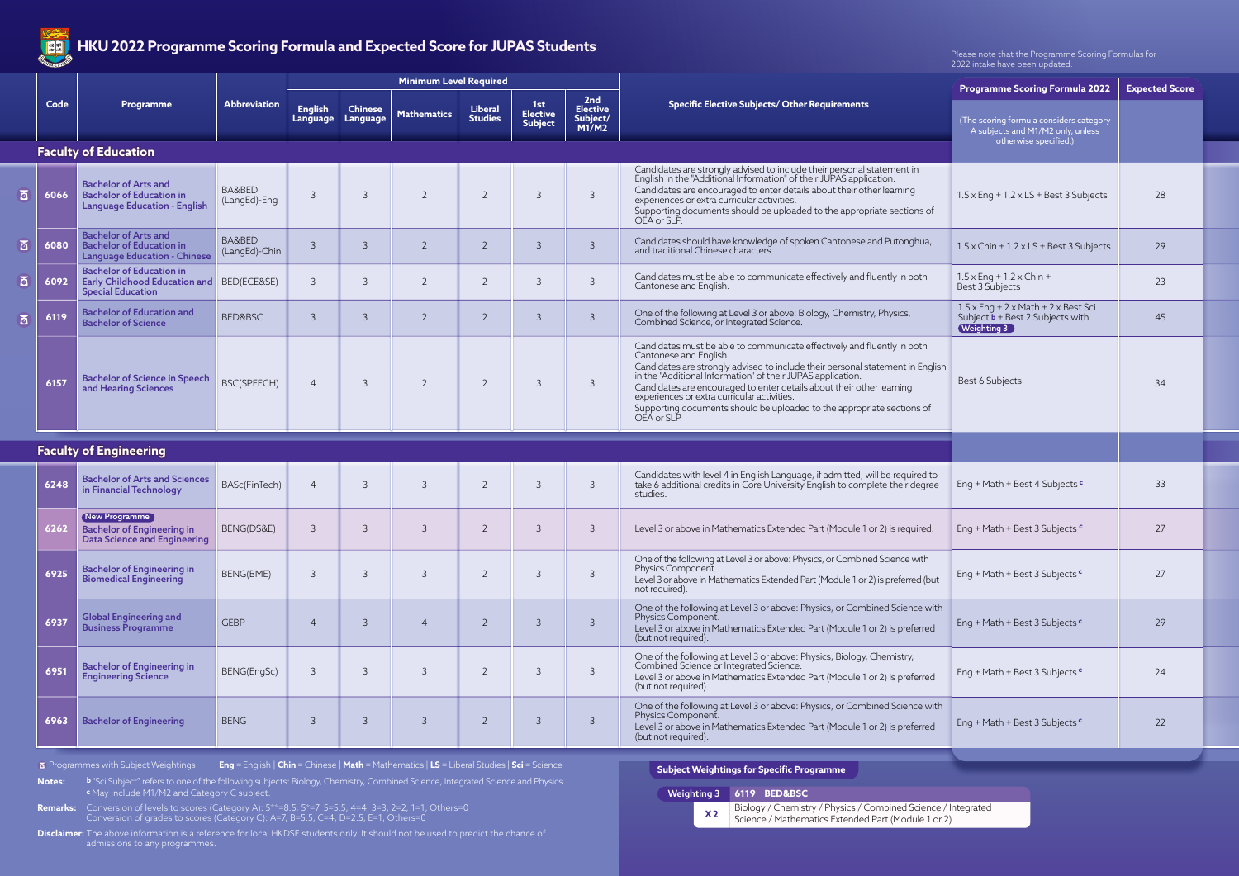|     | <b>CONTINUES OF BRIDE</b> |                                                                                                       |                         | The Ever Hoglandic Sconig Formata and Expected Scole for Johns Stadents |                            |                               |                                  |                                          |                                             |                                                                                                                                                                                                                                                                                                                                                                                                                                                                     | Please note that the Programme Scoring Formulas for<br>2022 intake have been updated.                                  |                       |  |  |
|-----|---------------------------|-------------------------------------------------------------------------------------------------------|-------------------------|-------------------------------------------------------------------------|----------------------------|-------------------------------|----------------------------------|------------------------------------------|---------------------------------------------|---------------------------------------------------------------------------------------------------------------------------------------------------------------------------------------------------------------------------------------------------------------------------------------------------------------------------------------------------------------------------------------------------------------------------------------------------------------------|------------------------------------------------------------------------------------------------------------------------|-----------------------|--|--|
|     |                           |                                                                                                       |                         |                                                                         |                            | <b>Minimum Level Required</b> |                                  |                                          |                                             |                                                                                                                                                                                                                                                                                                                                                                                                                                                                     | <b>Programme Scoring Formula 2022</b>                                                                                  | <b>Expected Score</b> |  |  |
|     | Code                      | Programme                                                                                             | <b>Abbreviation</b>     | <b>English</b><br>Language                                              | <b>Chinese</b><br>Language | <b>Mathematics</b>            | <b>Liberal</b><br><b>Studies</b> | 1st<br><b>Elective</b><br><b>Subject</b> | 2nd<br><b>Elective</b><br>Subject/<br>M1/M2 | <b>Specific Elective Subjects/ Other Requirements</b>                                                                                                                                                                                                                                                                                                                                                                                                               | (The scoring formula considers category<br>A subjects and M1/M2 only, unless                                           |                       |  |  |
|     |                           | <b>Faculty of Education</b>                                                                           |                         |                                                                         |                            |                               |                                  |                                          |                                             |                                                                                                                                                                                                                                                                                                                                                                                                                                                                     | otherwise specified.)                                                                                                  |                       |  |  |
| ত্ৰ | 6066                      | <b>Bachelor of Arts and</b><br><b>Bachelor of Education in</b><br><b>Language Education - English</b> | BA&BED<br>(LangEd)-Eng  | $\mathcal{E}$                                                           | $\overline{3}$             | $\overline{2}$                | $\overline{2}$                   | $\overline{3}$                           | $\overline{3}$                              | Candidates are strongly advised to include their personal statement in<br>English in the "Additional Information" of their JUPAS application.<br>Candidates are encouraged to enter details about their other learning<br>experiences or extra curricular activities.<br>Supporting documents should be uploaded to the appropriate sections of<br>OEA or SLP.                                                                                                      | $1.5 \times$ Eng + 1.2 $\times$ LS + Best 3 Subjects                                                                   | 28                    |  |  |
| ब   | 6080                      | <b>Bachelor of Arts and</b><br><b>Bachelor of Education in</b><br><b>Language Education - Chinese</b> | BA&BED<br>(LangEd)-Chin | $\mathcal{E}$                                                           | $\overline{3}$             | 2                             | 2                                | $\mathcal{E}$                            | $\overline{3}$                              | Candidates should have knowledge of spoken Cantonese and Putonghua,<br>and traditional Chinese characters.                                                                                                                                                                                                                                                                                                                                                          | $1.5 \times$ Chin + $1.2 \times$ LS + Best 3 Subjects                                                                  | 29                    |  |  |
| ō.  | 6092                      | <b>Bachelor of Education in</b><br>Early Childhood Education and<br><b>Special Education</b>          | BED(ECE&SE)             | 3                                                                       | $\overline{3}$             |                               | $\overline{2}$                   | $\mathcal{E}$                            | $\overline{3}$                              | Candidates must be able to communicate effectively and fluently in both<br>Cantonese and English.                                                                                                                                                                                                                                                                                                                                                                   | $1.5 \times$ Eng + 1.2 x Chin +<br>Best 3 Subjects                                                                     | 23                    |  |  |
| ब   | 6119                      | <b>Bachelor of Education and</b><br><b>Bachelor of Science</b>                                        | <b>BED&amp;BSC</b>      | $\mathcal{E}$                                                           | $\overline{3}$             | 2                             | $\overline{2}$                   | $\overline{3}$                           | $\overline{3}$                              | One of the following at Level 3 or above: Biology, Chemistry, Physics,<br>Combined Science, or Integrated Science.                                                                                                                                                                                                                                                                                                                                                  | $1.5 \times$ Eng + 2 $\times$ Math + 2 $\times$ Best Sci<br>Subject $\mathbf{b}$ + Best 2 Subjects with<br>Weighting 3 | 45                    |  |  |
|     | 6157                      | <b>Bachelor of Science in Speech</b><br>and Hearing Sciences                                          | BSC(SPEECH)             | $\overline{4}$                                                          | $\overline{3}$             | $\overline{2}$                | $\overline{2}$                   | $\overline{3}$                           | $\overline{3}$                              | Candidates must be able to communicate effectively and fluently in both<br>Cantonese and English.<br>Candidates are strongly advised to include their personal statement in English<br>in the "Additional Information" of their JUPAS application.<br>Candidates are encouraged to enter details about their other learning<br>experiences or extra curricular activities.<br>Supporting documents should be uploaded to the appropriate sections of<br>OEA or SLP. | Best 6 Subjects                                                                                                        | 34                    |  |  |
|     |                           | <b>Faculty of Engineering</b>                                                                         |                         |                                                                         |                            |                               |                                  |                                          |                                             |                                                                                                                                                                                                                                                                                                                                                                                                                                                                     |                                                                                                                        |                       |  |  |
|     | 6248                      | <b>Bachelor of Arts and Sciences</b><br>in Financial Technology                                       | BASc(FinTech)           | $\overline{4}$                                                          | $\overline{3}$             | $\overline{3}$                | $\overline{2}$                   | $\overline{3}$                           | $\overline{3}$                              | Candidates with level 4 in English Language, if admitted, will be required to take 6 additional credits in Core University English to complete their degree<br>studies.                                                                                                                                                                                                                                                                                             | Eng + Math + Best 4 Subjects c                                                                                         | 33                    |  |  |
|     | 6262                      | New Programme<br><b>Bachelor of Engineering in</b><br><b>Data Science and Engineering</b>             | BENG(DS&E)              | 3                                                                       | -3                         | $\overline{3}$                | $\overline{2}$                   | $\mathcal{B}$                            | $\overline{3}$                              | Level 3 or above in Mathematics Extended Part (Module 1 or 2) is required.                                                                                                                                                                                                                                                                                                                                                                                          | Eng + Math + Best 3 Subjects $\frac{c}{ }$                                                                             | 27                    |  |  |
|     | 6925                      | <b>Bachelor of Engineering in</b><br><b>Biomedical Engineering</b>                                    | BENG(BME)               | 3                                                                       | $\overline{3}$             | $\overline{3}$                | $\overline{2}$                   | $\overline{3}$                           | $\overline{3}$                              | One of the following at Level 3 or above: Physics, or Combined Science with<br>Physics Component.<br>Level 3 or above in Mathematics Extended Part (Module 1 or 2) is preferred (but<br>not required).                                                                                                                                                                                                                                                              | Eng + Math + Best 3 Subjects c                                                                                         | 27                    |  |  |
|     | 6937                      | <b>Global Engineering and</b><br><b>Business Programme</b>                                            | <b>GEBP</b>             | $\overline{4}$                                                          | $\overline{3}$             | $\overline{4}$                | $\overline{2}$                   | $\overline{3}$                           | $\overline{3}$                              | One of the following at Level 3 or above: Physics, or Combined Science with<br>Physics Component.<br>Level 3 or above in Mathematics Extended Part (Module 1 or 2) is preferred<br>(but not required).                                                                                                                                                                                                                                                              | Eng + Math + Best 3 Subjects c                                                                                         | 29                    |  |  |
|     | 6951                      | <b>Bachelor of Engineering in</b><br><b>Engineering Science</b>                                       | BENG(EngSc)             | 3                                                                       | $\overline{3}$             | $\overline{3}$                | $\overline{2}$                   | $\overline{3}$                           | $\overline{3}$                              | One of the following at Level 3 or above: Physics, Biology, Chemistry,<br>Combined Science or Integrated Science.<br>Level 3 or above in Mathematics Extended Part (Module 1 or 2) is preferred<br>(but not required).                                                                                                                                                                                                                                              | Eng + Math + Best 3 Subjects $\frac{c}{ }$                                                                             | 24                    |  |  |
|     | 6963                      | <b>Bachelor of Engineering</b>                                                                        | <b>BENG</b>             | 3                                                                       | $\overline{3}$             | $\mathcal{E}$                 | $\overline{2}$                   | $\overline{3}$                           | $\overline{3}$                              | One of the following at Level 3 or above: Physics, or Combined Science with<br>Physics Component.<br>Level 3 or above in Mathematics Extended Part (Module 1 or 2) is preferred<br>(but not required).                                                                                                                                                                                                                                                              | Eng + Math + Best 3 Subjects <sup>c</sup>                                                                              | 22                    |  |  |

Biology / Chemistry / Physics / Combined Science / Integrated Science / Mathematics Extended Part (Module 1 or 2) **X 2**



**Subject Weightings for Specific Programme**

**Disclaimer:** The above information is a reference for local HKDSE students only. It should not be used to predict the chance of admissions to any programmes.

**Remarks:** Conversion of levels to scores (Category A): 5\*\*=8.5, 5\*=7, 5=5.5, 4=4, 3=3, 2=2, 1=1, Others=0 Conversion of grades to scores (Category C): A=7, B=5.5, C=4, D=2.5, E=1, Others=0

**Notes: b** "Sci Subject" refers to one of the following subjects: Biology, Chemistry, Combined Science, Integrated Science and Physics.  **c** May include M1/M2 and Category C subject.



## **HKU 2022 Programme Scoring Formula and Expected Score for JUPAS Students**

Programmes with Subject Weightings **Eng** = English | **Chin** = Chinese | **Math** = Mathematics | **LS** = Liberal Studies | **Sci** = Science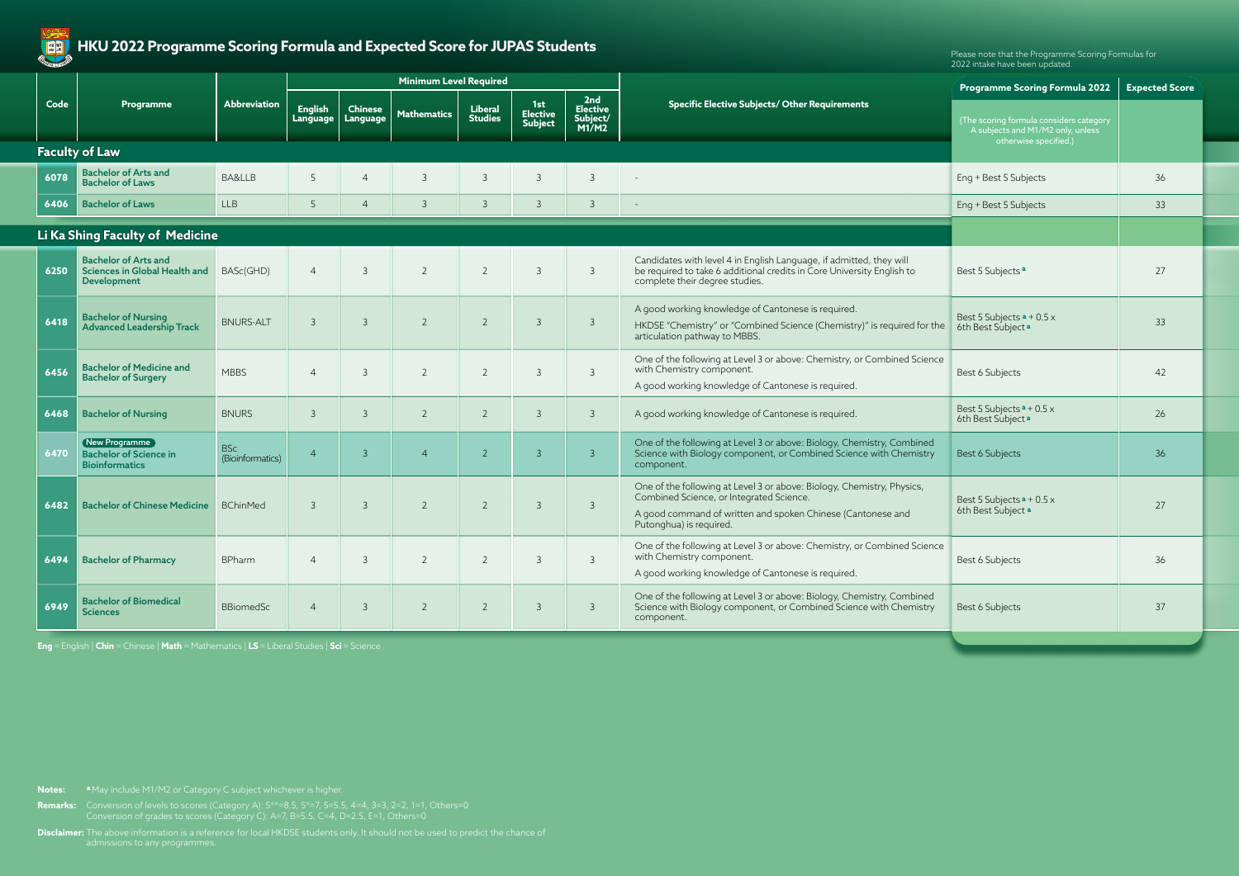

# HKU 2022 Programme Scoring Formula and Expected Score for JUPAS Students **Please note that the Programme Scoring Formulas** for

|      |                                                                                         |                                |                            |                            | <b>Minimum Level Required</b> |                                  |                                          |                                             |                                                                                                                                                                                                              | <b>Programme Scoring Formula 2022</b>                                        | <b>Expected Score</b> |  |
|------|-----------------------------------------------------------------------------------------|--------------------------------|----------------------------|----------------------------|-------------------------------|----------------------------------|------------------------------------------|---------------------------------------------|--------------------------------------------------------------------------------------------------------------------------------------------------------------------------------------------------------------|------------------------------------------------------------------------------|-----------------------|--|
| Code | <b>Programme</b>                                                                        | Abbreviation                   | <b>English</b><br>Language | <b>Chinese</b><br>Language | <b>Mathematics</b>            | <b>Liberal</b><br><b>Studies</b> | 1st<br><b>Elective</b><br><b>Subject</b> | 2nd<br><b>Elective</b><br>Subject/<br>M1/M2 | <b>Specific Elective Subjects/ Other Requirements</b>                                                                                                                                                        | (The scoring formula considers category<br>A subjects and M1/M2 only, unless |                       |  |
|      | <b>Faculty of Law</b>                                                                   |                                |                            |                            |                               |                                  |                                          |                                             |                                                                                                                                                                                                              | otherwise specified.)                                                        |                       |  |
| 6078 | <b>Bachelor of Arts and</b><br><b>Bachelor of Laws</b>                                  | BA&LLB                         | 5                          | $\overline{4}$             | $\overline{3}$                | $\overline{3}$                   | 3                                        | $\mathcal{R}$                               |                                                                                                                                                                                                              | Eng + Best 5 Subjects                                                        | 36                    |  |
| 6406 | <b>Bachelor of Laws</b>                                                                 | <b>LLB</b>                     | 5                          | $\overline{4}$             | $\overline{3}$                | $\overline{3}$                   | $\mathcal{E}$                            | $\overline{3}$                              |                                                                                                                                                                                                              | Eng + Best 5 Subjects                                                        | 33                    |  |
|      | Li Ka Shing Faculty of Medicine                                                         |                                |                            |                            |                               |                                  |                                          |                                             |                                                                                                                                                                                                              |                                                                              |                       |  |
|      | <b>Bachelor of Arts and</b><br>6250 Sciences in Global Health and<br><b>Development</b> | BASc(GHD)                      | $\overline{4}$             | $\overline{3}$             | $\overline{2}$                | $\overline{2}$                   | $\mathcal{E}$                            | $\mathcal{E}$                               | Candidates with level 4 in English Language, if admitted, they will<br>be required to take 6 additional credits in Core University English to<br>complete their degree studies.                              | Best 5 Subjects <sup>a</sup>                                                 | 27                    |  |
| 6418 | <b>Bachelor of Nursing</b><br><b>Advanced Leadership Track</b>                          | <b>BNURS-ALT</b>               | $\mathcal{E}$              | $\overline{3}$             | $\overline{2}$                | $\overline{2}$                   | $\mathcal{E}$                            | $\mathcal{E}$                               | A good working knowledge of Cantonese is required.<br>HKDSE "Chemistry" or "Combined Science (Chemistry)" is required for the<br>articulation pathway to MBBS.                                               | Best 5 Subjects $a + 0.5x$<br>6th Best Subject <sup>a</sup>                  | 33                    |  |
| 6456 | <b>Bachelor of Medicine and</b><br><b>Bachelor of Surgery</b>                           | <b>MBBS</b>                    | $\overline{4}$             | $\overline{3}$             | $\overline{2}$                | $\overline{2}$                   | $\mathcal{E}$                            | $\mathcal{E}$                               | One of the following at Level 3 or above: Chemistry, or Combined Science<br>with Chemistry component.<br>A good working knowledge of Cantonese is required.                                                  | Best 6 Subjects                                                              | 42                    |  |
| 6468 | <b>Bachelor of Nursing</b>                                                              | <b>BNURS</b>                   | $\mathcal{E}$              | $\overline{3}$             | $\overline{2}$                | $\overline{2}$                   | $\overline{3}$                           | $\mathcal{B}$                               | A good working knowledge of Cantonese is required.                                                                                                                                                           | Best 5 Subjects $a + 0.5x$<br>6th Best Subject <sup>a</sup>                  | 26                    |  |
| 6470 | New Programme<br><b>Bachelor of Science in</b><br><b>Bioinformatics</b>                 | <b>BSc</b><br>(Bioinformatics) | $\overline{4}$             | $\overline{3}$             | $\overline{4}$                | $\overline{2}$                   | $\overline{3}$                           | $\mathcal{E}$                               | One of the following at Level 3 or above: Biology, Chemistry, Combined<br>Science with Biology component, or Combined Science with Chemistry<br>component.                                                   | Best 6 Subjects                                                              | 36                    |  |
| 6482 | Bachelor of Chinese Medicine BChinMed                                                   |                                | $\mathcal{E}$              | $\overline{3}$             | $\overline{2}$                | $\overline{2}$                   | $\mathcal{E}$                            | $\overline{3}$                              | One of the following at Level 3 or above: Biology, Chemistry, Physics,<br>Combined Science, or Integrated Science.<br>A good command of written and spoken Chinese (Cantonese and<br>Putonghua) is required. | Best 5 Subjects $a + 0.5x$<br>6th Best Subject a                             | 27                    |  |
| 6494 | <b>Bachelor of Pharmacy</b>                                                             | <b>BPharm</b>                  | $\overline{4}$             | $\overline{3}$             | $\overline{2}$                | $\overline{2}$                   | $\mathcal{S}$                            | $\mathcal{S}$                               | One of the following at Level 3 or above: Chemistry, or Combined Science<br>with Chemistry component.<br>A good working knowledge of Cantonese is required.                                                  | Best 6 Subjects                                                              | 36                    |  |
| 6949 | <b>Bachelor of Biomedical</b><br><b>Sciences</b>                                        | <b>BBiomedSc</b>               | $\overline{4}$             | $\overline{3}$             | $\overline{2}$                | $\overline{2}$                   | $\mathcal{E}$                            | 3                                           | One of the following at Level 3 or above: Biology, Chemistry, Combined<br>Science with Biology component, or Combined Science with Chemistry<br>component.                                                   | Best 6 Subjects                                                              | 37                    |  |

**Disclaimer:** The above information is a reference for local HKDSE students only. It should not be used to predict the chance of

**Remarks:** Conversion of levels to scores (Category A): 5\*\*=8.5, 5\*=7, 5=5.5, 4=4, 3=3, 2=2, 1=1, Others=0 Conversion of grades to scores (Category C): A=7, B=5.5, C=4, D=2.5, E=1, Others=0

**Notes: a** May include M1/M2 or Category C subject whichever is higher.

**Eng** = English | **Chin** = Chinese | **Math** = Mathematics | **LS** = Liberal Studies | **Sci** = Science

2022 intake have been updated.